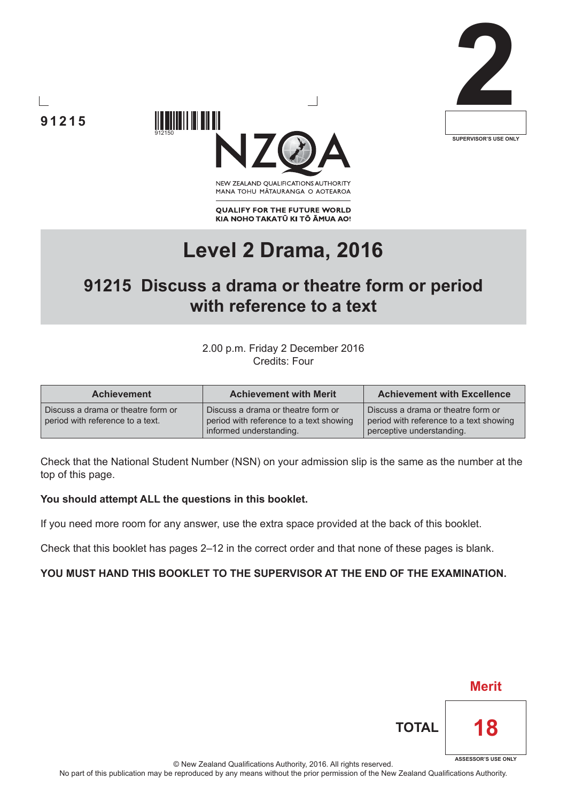





NEW ZEALAND OUALIFICATIONS AUTHORITY MANA TOHU MATAURANGA O AOTEAROA

**QUALIFY FOR THE FUTURE WORLD** KIA NOHO TAKATŪ KI TŌ ĀMUA AO!

# **Level 2 Drama, 2016**

## **91215 Discuss a drama or theatre form or period with reference to a text**

2.00 p.m. Friday 2 December 2016 Credits: Four

| <b>Achievement</b>                                                     | <b>Achievement with Merit</b>                                                                            | <b>Achievement with Excellence</b>                                                                         |  |
|------------------------------------------------------------------------|----------------------------------------------------------------------------------------------------------|------------------------------------------------------------------------------------------------------------|--|
| Discuss a drama or theatre form or<br>period with reference to a text. | Discuss a drama or theatre form or<br>period with reference to a text showing<br>informed understanding. | Discuss a drama or theatre form or<br>period with reference to a text showing<br>perceptive understanding. |  |

Check that the National Student Number (NSN) on your admission slip is the same as the number at the top of this page.

#### **You should attempt ALL the questions in this booklet.**

If you need more room for any answer, use the extra space provided at the back of this booklet.

Check that this booklet has pages 2–12 in the correct order and that none of these pages is blank.

#### **YOU MUST HAND THIS BOOKLET TO THE SUPERVISOR AT THE END OF THE EXAMINATION.**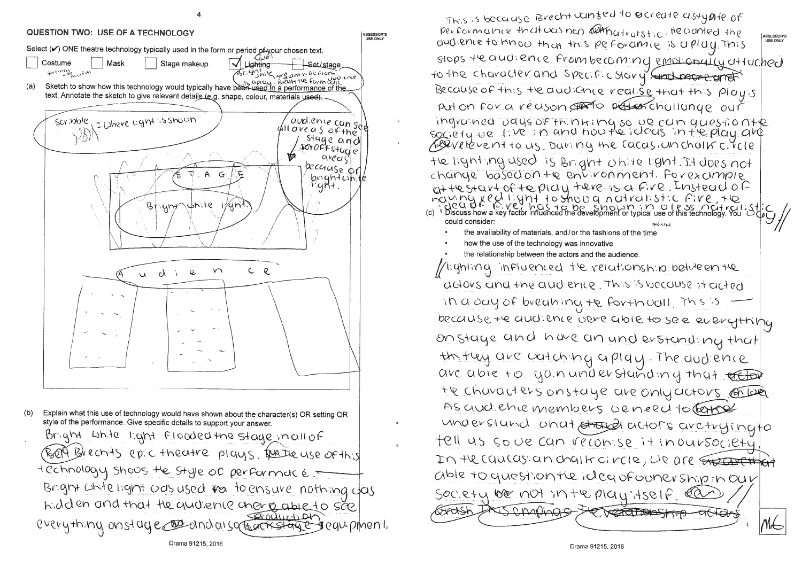

This is because Brecht conted to acreate astypite of performance that was non computed the stick the vanted the and enterto know that this perforance is a play this to the character and specific story sund page erret Because of this teaudionce realise that this play's put on for a reason offerto protest challange our ingrained vays of thinking so be can questionte<br>society velove in and noute ideas in the play are ABEVE tevent to us. Daning the Cacasiun cholis circle the light ing used is Bright on the light. It does not change based on the entironment. Porexample at testart of teplay tere is a fire, Instead of MULTIC VEU II: YNT TO SHOU O n UTrulist: C FIVE TO HOU II: ST C FIVE TO HOU II: ST C FIVE TO HOU IST . C FIVE TO HOU IST . ST . LET could consider: the availability of materials, and/or the fashions of the time how the use of the technology was innovative the relationship between the actors and the audience //i:ghting influenced the relationship between the adors and the audience. This is because it acted in a bay of breaking the forth vall, This is because te audience vere abie to see everythipy on stage and have an und erstanding that the they are watching a play. The dudience are able to you understanding that effor the characters on staye are only actors on look As and chic members ve need to torse understand unat stayed actors arctryingto fell us so we can reconise it inoursociety In the coulas an chalk circle, we are streat that able to question the idea of ounership in Our SOC. et y be not in the play itself. la JERNAHAB Grash

ASSESSOR'S<br>USE ONLY stops the andience From becoming emotionally attached TREACEBASKIP  $\bigoplus_{i=1}^n \bigoplus_{i=1}^n \bigoplus_{i=1}^n \bigoplus_{i=1}^n \bigoplus_{i=1}^n \bigoplus_{i=1}^n \bigoplus_{i=1}^n \bigoplus_{i=1}^n \bigoplus_{i=1}^n \bigoplus_{i=1}^n \bigoplus_{i=1}^n \bigoplus_{i=1}^n \bigoplus_{i=1}^n \bigoplus_{i=1}^n \bigoplus_{i=1}^n \bigoplus_{i=1}^n \bigoplus_{i=1}^n \bigoplus_{i=1}^n \bigoplus_{i=1}^n \bigoplus_{i=1}^n$  $M\in$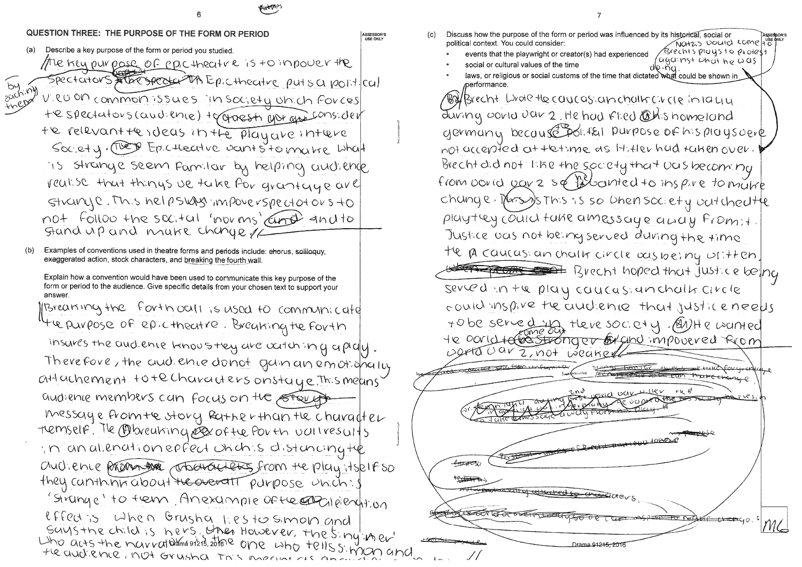QUESTION THREE: THE PURPOSE OF THE FORM OR PERIOD **ASSESSOR**  $(c)$ **USE ONLY** Describe a key purpose of the form or period you studied. The kicy purpose of pacthecture is to impover the Spectators store spectation Epictheatre puts a point cal VIRO On common issues in society unich forces He spectators (audience) to groesti une qui consider te relevant te ideas in the playake intere Society. These Epictheatre vants to make what is strange seem Familar by helping audience realise that things we take for grantage are  $G+conv(2, Th)$ ,  $S$  help  $S$  was impover  $S$  pector or  $S+O$ not follow the sect ul 'norms' and to Stand up and make change // Examples of conventions used in theatre forms and periods include: ehorus, soliloquy, exaggerated action, stock characters, and breaking the fourth wall. Explain how a convention would have been used to communicate this key purpose of the form or period to the audience. Give specific details from your chosen text to support your answer. Parearing the forth oall is used to communicate the purpose of epictheatre. Breaking the forth insures the audience knows they are catch in q a pialy Therefore, the and ence donot gan an emotionally attuchement to techaracters onstaye, This means audience members can focus on the strength

 $(a)$ 

by my

 $(b)$ 

messaye from the story father than the character temself. The Colorenting es of the Porth valles wits in anationephent unch s distancing the Ouchence Programs changelers from the play itsplit so they canthing about the overall purpose unich: I 'Sirange' to tem Anexample Of the Englished tion effect is when Grusha liestosmon and SUYSTINE child is hers. Then However, the sing iner Who are the narration of the one who tells simply and

Discuss how the purpose of the form or period was influenced by its historical, social or political context. You could consider:

- events that the playwright or creator(s) had experienced
- social or cultural values of the time
- laws, or religious or social customs of the time that dictated what could be shown in performance.

during covid var 2. He had Flied Ochshomeland germany because political purpose of his playsoere not accepted at tetime as It, they had taken over. Brecht did not like the society that UCUS becoming from vould your 2 sq fillocuted to inspire to make change. Mars is so then society untchectte playtey could take amessaye away From: +. Justice ous not being served during the time the pa caucasian challer circle occupating with en. served in the play caucasianchalk circle + obe served that there society. @NHe wanted te corrette stronger Exandimpouved Reom worta uar 2, not weaker ていふ <del>for po</del>x the past of <del>EOT LA TOETAT</del> Dr<u>ama 912<del>15. 2(</del></u>

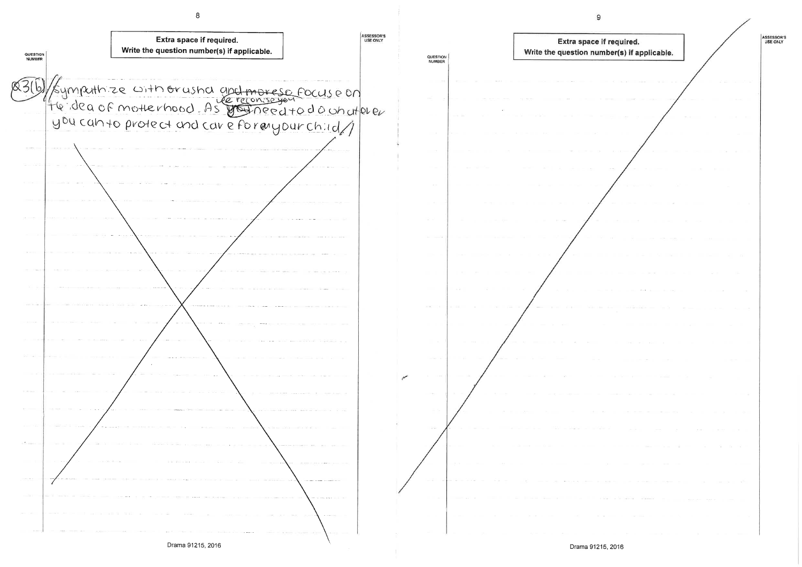